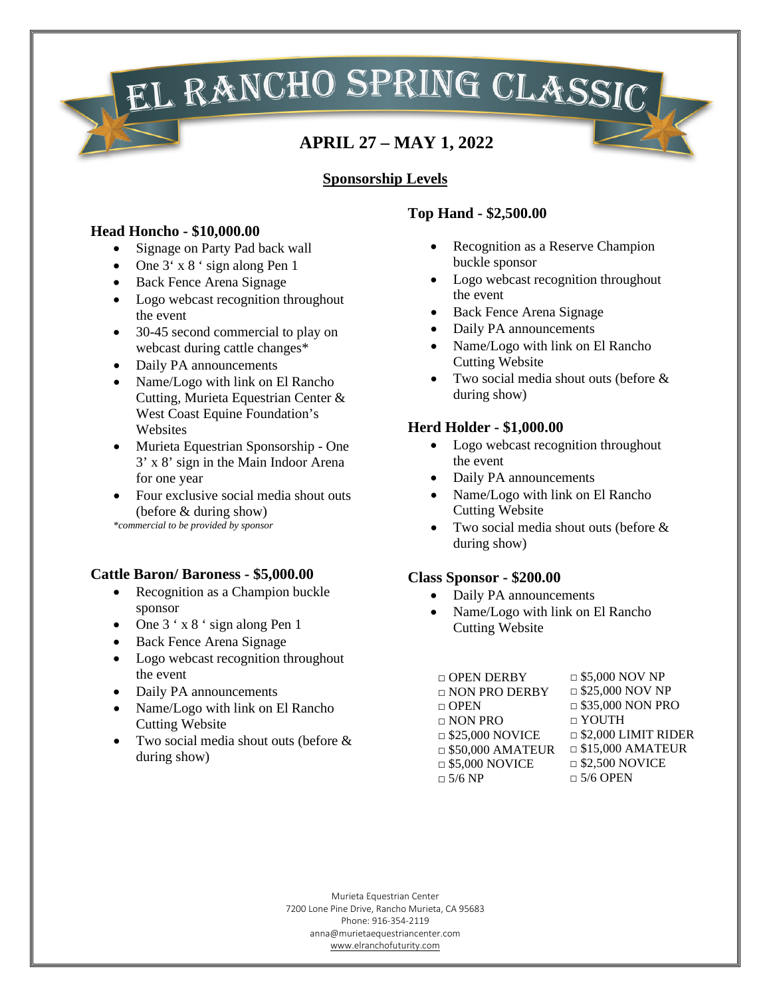**EL RANCHO SPRING CLASSIC** 

## **Sponsorship Levels**

#### **Head Honcho - \$10,000.00**

- Signage on Party Pad back wall
- One  $3' \times 8'$  sign along Pen 1
- Back Fence Arena Signage
- Logo webcast recognition throughout the event
- 30-45 second commercial to play on webcast during cattle changes\*
- Daily PA announcements
- Name/Logo with link on El Rancho Cutting, Murieta Equestrian Center & West Coast Equine Foundation's **Websites**
- Murieta Equestrian Sponsorship One 3' x 8' sign in the Main Indoor Arena for one year
- Four exclusive social media shout outs (before & during show) *\*commercial to be provided by sponsor*

## **Cattle Baron/ Baroness - \$5,000.00**

- Recognition as a Champion buckle sponsor
- One 3 ' x 8 ' sign along Pen 1
- Back Fence Arena Signage
- Logo webcast recognition throughout the event
- Daily PA announcements
- Name/Logo with link on El Rancho Cutting Website
- Two social media shout outs (before & during show)

# **Top Hand - \$2,500.00**

- Recognition as a Reserve Champion buckle sponsor
- Logo webcast recognition throughout the event
- Back Fence Arena Signage
- Daily PA announcements
- Name/Logo with link on El Rancho Cutting Website
- Two social media shout outs (before & during show)

### **Herd Holder - \$1,000.00**

- Logo webcast recognition throughout the event
- Daily PA announcements
- Name/Logo with link on El Rancho Cutting Website
- Two social media shout outs (before & during show)

#### **Class Sponsor - \$200.00**

- Daily PA announcements
- Name/Logo with link on El Rancho Cutting Website

| $\Box$ \$25,000 NOV NP     |
|----------------------------|
| $\Box$ \$35,000 NON PRO    |
| $\Box$ YOUTH               |
| $\Box$ \$2,000 LIMIT RIDER |
| $\Box$ \$15,000 AMATEUR    |
| $\Box$ \$2,500 NOVICE      |
| $\Box$ 5/6 OPEN            |
|                            |

Murieta Equestrian Center 7200 Lone Pine Drive, Rancho Murieta, CA 95683 Phone: 916-354-2119 anna@murietaequestriancenter.com [www.elranchofuturity.com](http://www.elranchofuturity.com/)